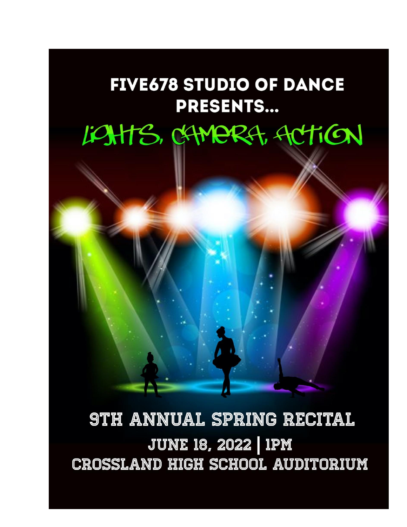# **FIVE678 STUDIO OF DANCE PRESENTS...**

# LOHTS, CHMERA, ACTION



# **9TH ANNUAL SPRING RECITAL JUNE 18, 2022 | 1PM CROSSLAND HIGH SCHOOL AUDITORIUM**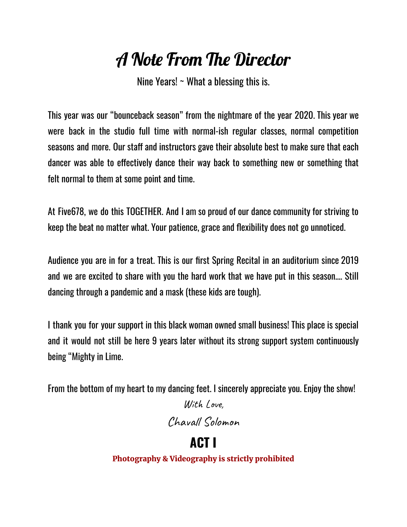# A Note From The Director

Nine Years!  $\sim$  What a blessing this is.

This year was our "bounceback season" from the nightmare of the year 2020. This year we were back in the studio full time with normal-ish regular classes, normal competition seasons and more. Our staff and instructors gave their absolute best to make sure that each dancer was able to effectively dance their way back to something new or something that felt normal to them at some point and time.

At Five678, we do this TOGETHER. And I am so proud of our dance community for striving to keep the beat no matter what. Your patience, grace and flexibility does not go unnoticed.

Audience you are in for a treat. This is our first Spring Recital in an auditorium since 2019 and we are excited to share with you the hard work that we have put in this season…. Still dancing through a pandemic and a mask (these kids are tough).

I thank you for your support in this black woman owned small business! This place is special and it would not still be here 9 years later without its strong support system continuously being "Mighty in Lime.

From the bottom of my heart to my dancing feet. I sincerely appreciate you. Enjoy the show!

With Love, Chavall Solomon

**ACT I** Photography & Videography is strictly prohibited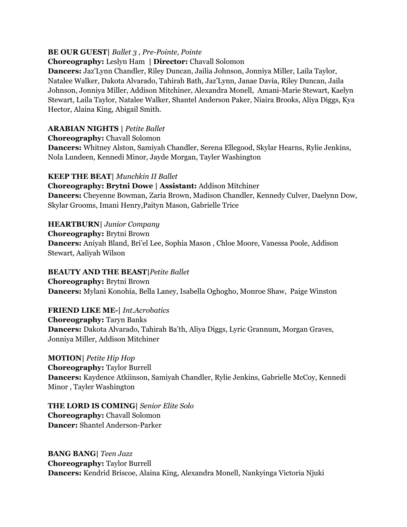#### **BE OUR GUEST|** *Ballet 3 , Pre-Pointe, Pointe*

#### **Choreography:** Leslyn Ham **| Director:** Chavall Solomon

**Dancers:** Jaz'Lynn Chandler, Riley Duncan, Jailia Johnson, Jonniya Miller, Laila Taylor, Natalee Walker, Dakota Alvarado, Tahirah Bath, Jaz'Lynn, Janae Davia, Riley Duncan, Jaila Johnson, Jonniya Miller, Addison Mitchiner, Alexandra Monell, Amani-Marie Stewart, Kaelyn Stewart, Laila Taylor, Natalee Walker, Shantel Anderson Paker, Niaira Brooks, Aliya Diggs, Kya Hector, Alaina King, Abigail Smith.

#### **ARABIAN NIGHTS |** *Petite Ballet*

**Choreography:** Chavall Solomon

**Dancers:** Whitney Alston, Samiyah Chandler, Serena Ellegood, Skylar Hearns, Rylie Jenkins, Nola Lundeen, Kennedi Minor, Jayde Morgan, Tayler Washington

#### **KEEP THE BEAT|** *Munchkin II Ballet*

**Choreography: Brytni Dowe | Assistant:** Addison Mitchiner **Dancers:** Cheyenne Bowman, Zaria Brown, Madison Chandler, Kennedy Culver, Daelynn Dow, Skylar Grooms, Imani Henry,Paityn Mason, Gabrielle Trice

#### **HEARTBURN|** *Junior Company*

**Choreography:** Brytni Brown **Dancers:** Aniyah Bland, Bri'el Lee, Sophia Mason , Chloe Moore, Vanessa Poole, Addison Stewart, Aaliyah Wilson

#### **BEAUTY AND THE BEAST|***Petite Ballet*

**Choreography:** Brytni Brown **Dancers:** Mylani Konohia, Bella Laney, Isabella Oghogho, Monroe Shaw, Paige Winston

#### **FRIEND LIKE ME-|** *Int.Acrobatics* **Choreography:** Taryn Banks **Dancers:** Dakota Alvarado, Tahirah Ba'th, Aliya Diggs, Lyric Grannum, Morgan Graves, Jonniya Miller, Addison Mitchiner

**MOTION|** *Petite Hip Hop* **Choreography:** Taylor Burrell **Dancers:** Kaydence Atkiinson, Samiyah Chandler, Rylie Jenkins, Gabrielle McCoy, Kennedi Minor , Tayler Washington

**THE LORD IS COMING|** *Senior Elite Solo* **Choreography:** Chavall Solomon **Dancer:** Shantel Anderson-Parker

**BANG BANG|** *Teen Jazz* **Choreography:** Taylor Burrell **Dancers:** Kendrid Briscoe, Alaina King, Alexandra Monell, Nankyinga Victoria Njuki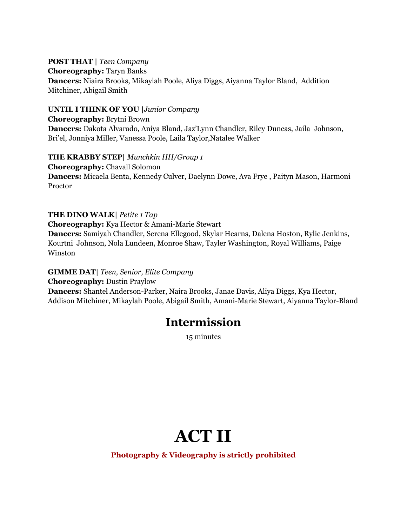#### **POST THAT |** *Teen Company*

**Choreography:** Taryn Banks

**Dancers:** Niaira Brooks, Mikaylah Poole, Aliya Diggs, Aiyanna Taylor Bland, Addition Mitchiner, Abigail Smith

#### **UNTIL I THINK OF YOU |***Junior Company*

**Choreography:** Brytni Brown **Dancers:** Dakota Alvarado, Aniya Bland, Jaz'Lynn Chandler, Riley Duncas, Jaila Johnson, Bri'el, Jonniya Miller, Vanessa Poole, Laila Taylor,Natalee Walker

#### **THE KRABBY STEP|** *Munchkin HH/Group 1*

**Choreography:** Chavall Solomon **Dancers:** Micaela Benta, Kennedy Culver, Daelynn Dowe, Ava Frye , Paityn Mason, Harmoni Proctor

#### **THE DINO WALK|** *Petite 1 Tap*

**Choreography:** Kya Hector & Amani-Marie Stewart

**Dancers:** Samiyah Chandler, Serena Ellegood, Skylar Hearns, Dalena Hoston, Rylie Jenkins, Kourtni Johnson, Nola Lundeen, Monroe Shaw, Tayler Washington, Royal Williams, Paige Winston

#### **GIMME DAT|** *Teen, Senior, Elite Company* **Choreography:** Dustin Praylow **Dancers:** Shantel Anderson-Parker, Naira Brooks, Janae Davis, Aliya Diggs, Kya Hector,

Addison Mitchiner, Mikaylah Poole, Abigail Smith, Amani-Marie Stewart, Aiyanna Taylor-Bland

### **Intermission**

15 minutes

# **ACT II**

**Photography & Videography is strictly prohibited**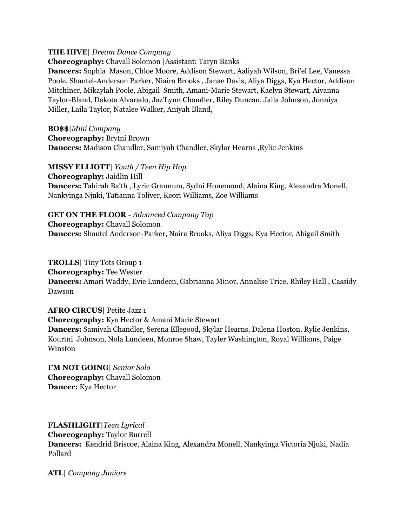#### **THE HIVE|** *Dream Dance Company*

**Choreography:** Chavall Solomon |Assistant: Taryn Banks

**Dancers:** Sophia Mason, Chloe Moore, Addison Stewart, Aaliyah Wilson, Bri'el Lee, Vanessa Poole, Shantel-Anderson Parker, Niaira Brooks , Janae Davis, Aliya Diggs, Kya Hector, Addison Mitchiner, Mikaylah Poole, Abigail Smith, Amani-Marie Stewart, Kaelyn Stewart, Aiyanna Taylor-Bland, Dakota Alvarado, Jaz'Lynn Chandler, Riley Duncan, Jaila Johnson, Jonniya Miller, Laila Taylor, Natalee Walker, Aniyah Bland,

**BO\$\$|***Mini Company* **Choreography:** Brytni Brown **Dancers:** Madison Chandler, Samiyah Chandler, Skylar Hearns ,Rylie Jenkins

**MISSY ELLIOTT|** *Youth / Teen Hip Hop*

**Choreography:** Jaidlin Hill **Dancers:** Tahirah Ba'th , Lyric Grannum, Sydni Honemond, Alaina King, Alexandra Monell, Nankyinga Njuki, Tatianna Toliver, Keori Williams, Zoe Williams

#### **GET ON THE FLOOR -** *Advanced Company Tap*

**Choreography:** Chavall Solomon **Dancers:** Shantel Anderson-Parker, Naira Brooks, Aliya Diggs, Kya Hector, Abigail Smith

**TROLLS|** Tiny Tots Group 1 **Choreography:** Tee Wester **Dancers:** Amari Waddy, Evie Lundeen, Gabrianna Minor, Annalise Trice, Rhiley Hall , Cassidy Dawson

**AFRO CIRCUS|** Petite Jazz 1 **Choreography:** Kya Hector & Amani Marie Stewart **Dancers:** Samiyah Chandler, Serena Ellegood, Skylar Hearns, Dalena Hoston, Rylie Jenkins, Kourtni Johnson, Nola Lundeen, Monroe Shaw, Tayler Washington, Royal Williams, Paige Winston

**I'M NOT GOING|** *Senior Solo* **Choreography:** Chavall Solomon **Dancer:** Kya Hector

**FLASHLIGHT|***Teen Lyrical* **Choreography:** Taylor Burrell **Dancers:** Kendrid Briscoe, Alaina King, Alexandra Monell, Nankyinga Victoria Njuki, Nadia Pollard

**ATL|** *Company Juniors*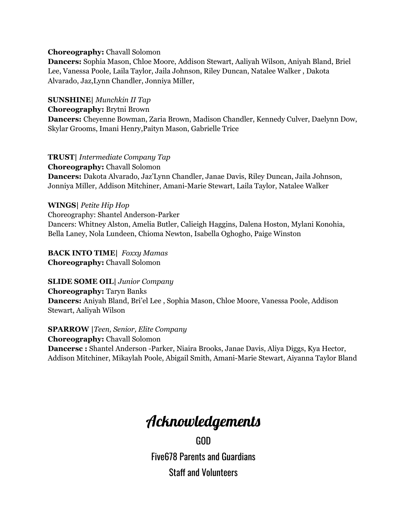#### **Choreography:** Chavall Solomon

**Dancers:** Sophia Mason, Chloe Moore, Addison Stewart, Aaliyah Wilson, Aniyah Bland, Briel Lee, Vanessa Poole, Laila Taylor, Jaila Johnson, Riley Duncan, Natalee Walker , Dakota Alvarado, Jaz,Lynn Chandler, Jonniya Miller,

**SUNSHINE|** *Munchkin II Tap*

#### **Choreography:** Brytni Brown

**Dancers:** Cheyenne Bowman, Zaria Brown, Madison Chandler, Kennedy Culver, Daelynn Dow, Skylar Grooms, Imani Henry,Paityn Mason, Gabrielle Trice

**TRUST|** *Intermediate Company Tap*

**Choreography:** Chavall Solomon **Dancers:** Dakota Alvarado, Jaz'Lynn Chandler, Janae Davis, Riley Duncan, Jaila Johnson, Jonniya Miller, Addison Mitchiner, Amani-Marie Stewart, Laila Taylor, Natalee Walker

#### **WINGS|** *Petite Hip Hop*

Choreography: Shantel Anderson-Parker Dancers: Whitney Alston, Amelia Butler, Calieigh Haggins, Dalena Hoston, Mylani Konohia, Bella Laney, Nola Lundeen, Chioma Newton, Isabella Oghogho, Paige Winston

#### **BACK INTO TIME|** *Foxxy Mamas* **Choreography:** Chavall Solomon

**SLIDE SOME OIL|** *Junior Company*

**Choreography:** Taryn Banks **Dancers:** Aniyah Bland, Bri'el Lee , Sophia Mason, Chloe Moore, Vanessa Poole, Addison Stewart, Aaliyah Wilson

**SPARROW |***Teen, Senior, Elite Company* **Choreography:** Chavall Solomon **Dancersc :** Shantel Anderson -Parker, Niaira Brooks, Janae Davis, Aliya Diggs, Kya Hector, Addison Mitchiner, Mikaylah Poole, Abigail Smith, Amani-Marie Stewart, Aiyanna Taylor Bland

### Acknowledgements

GOD Five678 Parents and Guardians Staff and Volunteers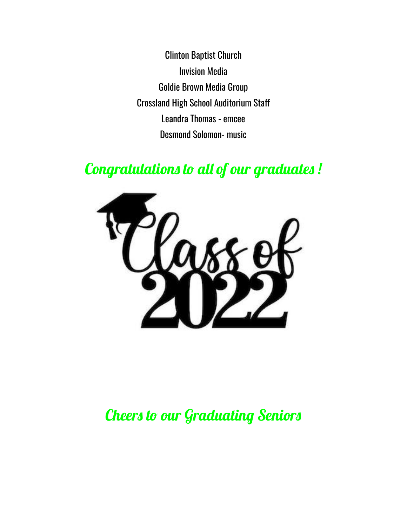Clinton Baptist Church Invision Media Goldie Brown Media Group Crossland High School Auditorium Staff Leandra Thomas - emcee Desmond Solomon- music

## Congratulations to all of our graduates !



### Cheers to our Graduating Seniors